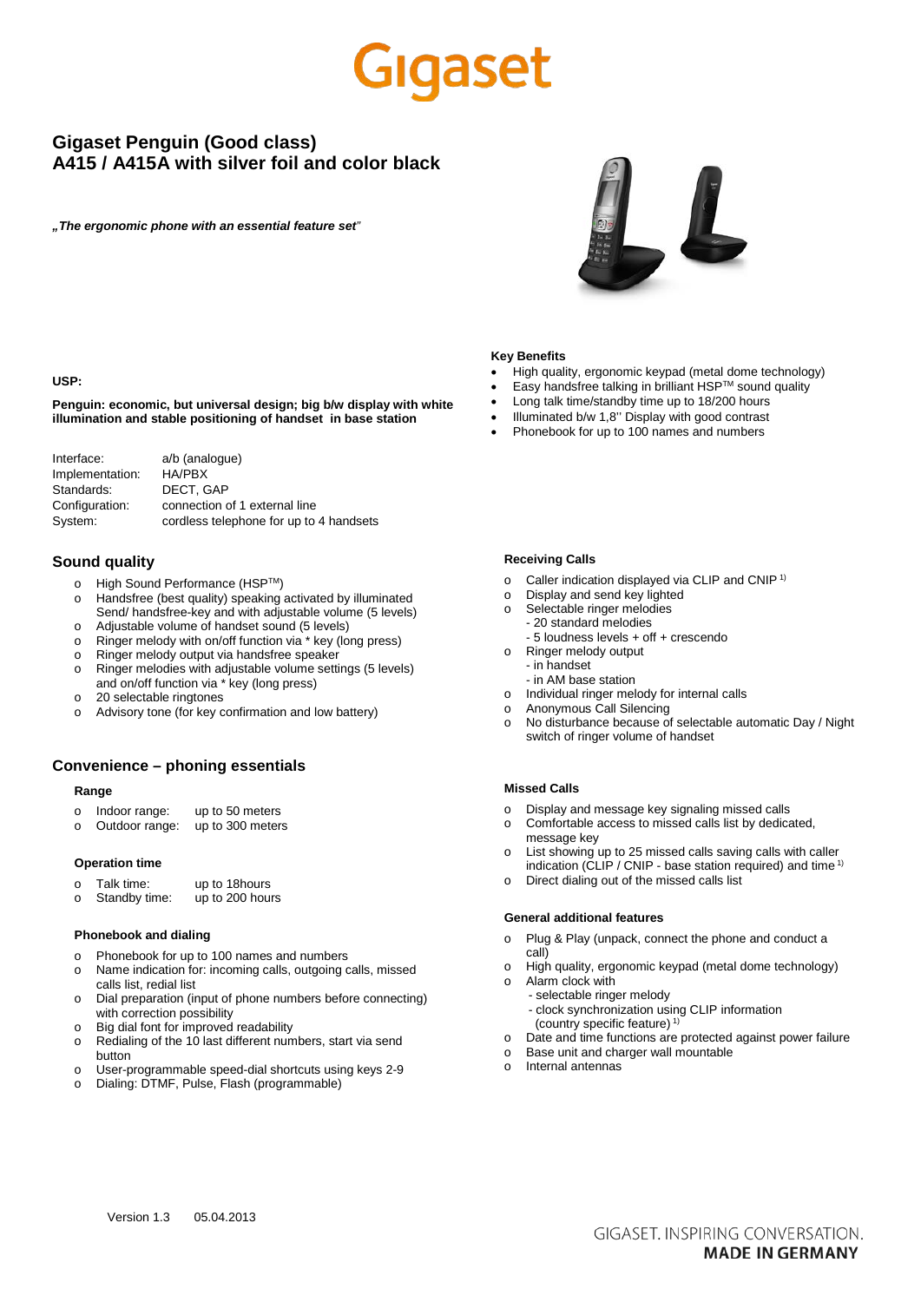## laaset

## **Gigaset Penguin (Good class) A415 / A415A with silver foil and color black**

*"The ergonomic phone with an essential feature set"*



#### **USP:**

**Penguin: economic, but universal design; big b/w display with white illumination and stable positioning of handset in base station**

| a/b (analogue)                          |
|-----------------------------------------|
| HA/PBX                                  |
| DECT. GAP                               |
| connection of 1 external line           |
| cordless telephone for up to 4 handsets |
|                                         |

### **Sound quality**

- o High Sound Performance (HSPTM)
- o Handsfree (best quality) speaking activated by illuminated Send/ handsfree-key and with adjustable volume (5 levels)
- o Adjustable volume of handset sound (5 levels) o Ringer melody with on/off function via \* key (long press)
- o Ringer melody output via handsfree speaker
- o Ringer melodies with adjustable volume settings (5 levels)
- and on/off function via \* key (long press) o 20 selectable ringtones
- 
- o Advisory tone (for key confirmation and low battery)

## **Convenience – phoning essentials**

## **Range**

- o Indoor range: up to 50 meters<br>o Outdoor range: up to 300 meter
- o Outdoor range: up to 300 meters

#### **Operation time**

- o Talk time: up to 18 hours<br>o Standby time: up to 200 hours
- o Standby time:

## **Phonebook and dialing**

- o Phonebook for up to 100 names and numbers
- o Name indication for: incoming calls, outgoing calls, missed calls list, redial list
- o Dial preparation (input of phone numbers before connecting) with correction possibility
- o Big dial font for improved readability
- o Redialing of the 10 last different numbers, start via send button
- o User-programmable speed-dial shortcuts using keys 2-9
- o Dialing: DTMF, Pulse, Flash (programmable)

#### **Key Benefits**

- High quality, ergonomic keypad (metal dome technology)
- Easy handsfree talking in brilliant HSPTM sound quality
- Long talk time/standby time up to 18/200 hours
- Illuminated b/w 1,8" Display with good contrast
- Phonebook for up to 100 names and numbers

#### **Receiving Calls**

- o Caller indication displayed via CLIP and CNIP 1)
- o Display and send key lighted
- o Selectable ringer melodies - 20 standard melodies
	- 5 loudness levels + off + crescendo
- o Ringer melody output - in handset
	- in AM base station
- o Individual ringer melody for internal calls
- o Anonymous Call Silencing
- o No disturbance because of selectable automatic Day / Night switch of ringer volume of handset

#### **Missed Calls**

- o Display and message key signaling missed calls
- o Comfortable access to missed calls list by dedicated, message key
- o List showing up to 25 missed calls saving calls with caller indication (CLIP / CNIP - base station required) and time<sup>1)</sup>
- Direct dialing out of the missed calls list

### **General additional features**

- o Plug & Play (unpack, connect the phone and conduct a call)
- o High quality, ergonomic keypad (metal dome technology) o Alarm clock with
	- selectable ringer melody
		- clock synchronization using CLIP information (country specific feature)<sup>1)</sup>
- o Date and time functions are protected against power failure
- o Base unit and charger wall mountable
- o Internal antennas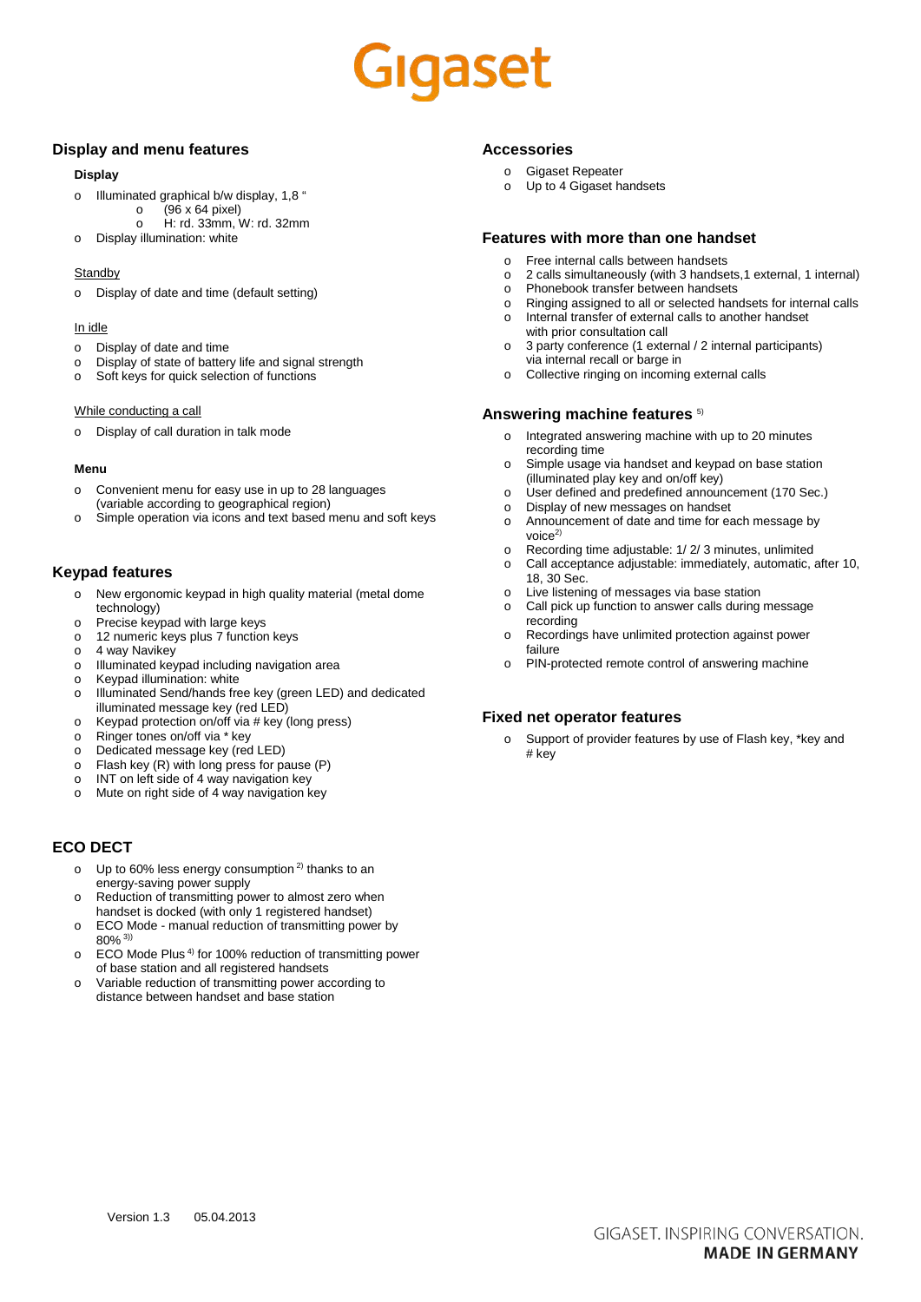# Gigaset

## **Display and menu features**

### **Display**

- o Illuminated graphical b/w display, 1,8  $\frac{6}{10}$  (96 x 64 pixel)
	- $\circ$  (96 x 64 pixel)<br>  $\circ$  H: rd. 33mm, V o H: rd. 33mm, W: rd. 32mm
- o Display illumination: white

### **Standby**

o Display of date and time (default setting)

## In idle

- o Display of date and time
- o Display of state of battery life and signal strength
- Soft keys for quick selection of functions

### While conducting a call

o Display of call duration in talk mode

### **Menu**

- o Convenient menu for easy use in up to 28 languages (variable according to geographical region)
- o Simple operation via icons and text based menu and soft keys

## **Keypad features**

- o New ergonomic keypad in high quality material (metal dome technology)
- o Precise keypad with large keys
- o 12 numeric keys plus 7 function keys
- o 4 way Navikey<br>o Illuminated key
- Illuminated keypad including navigation area
- o Keypad illumination: white
- o Illuminated Send/hands free key (green LED) and dedicated illuminated message key (red LED)
- o Keypad protection on/off via # key (long press)
- o Ringer tones on/off via \* key
- o Dedicated message key (red LED)
- o Flash key (R) with long press for pause (P)
- o INT on left side of 4 way navigation key
- o Mute on right side of 4 way navigation key

## **ECO DECT**

- o Up to 60% less energy consumption<sup>2)</sup> thanks to an energy-saving power supply
- Reduction of transmitting power to almost zero when handset is docked (with only 1 registered handset)
- o ECO Mode manual reduction of transmitting power by 80% 3))
- o ECO Mode Plus 4) for 100% reduction of transmitting power of base station and all registered handsets
- o Variable reduction of transmitting power according to distance between handset and base station

## **Accessories**

- o Gigaset Repeater
- Up to 4 Gigaset handsets

## **Features with more than one handset**

- o Free internal calls between handsets<br>o 2 calls simultaneously (with 3 handset
- 2 calls simultaneously (with 3 handsets,1 external, 1 internal)
- o Phonebook transfer between handsets<br>o Ringing assigned to all or selected han
- o Ringing assigned to all or selected handsets for internal calls Internal transfer of external calls to another handset
- with prior consultation call o 3 party conference (1 external / 2 internal participants) via internal recall or barge in
- o Collective ringing on incoming external calls

## **Answering machine features** 5)

- o Integrated answering machine with up to 20 minutes recording time
- Simple usage via handset and keypad on base station (illuminated play key and on/off key)
- o User defined and predefined announcement (170 Sec.)
- o Display of new messages on handset<br>o Announcement of date and time for ea
- Announcement of date and time for each message by  $v$ oice $2$
- o Recording time adjustable: 1/ 2/ 3 minutes, unlimited
- Call acceptance adjustable: immediately, automatic, after 10, 18, 30 Sec.
- o Live listening of messages via base station
- o Call pick up function to answer calls during message recording
- o Recordings have unlimited protection against power failure
- o PIN-protected remote control of answering machine

## **Fixed net operator features**

o Support of provider features by use of Flash key, \*key and # key